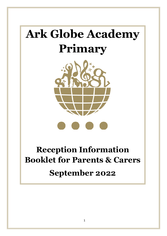# **Ark Globe Academy Primary**



## **Reception Information Booklet for Parents & Carers September 2022**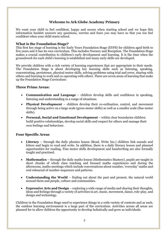#### **Welcome to Ark Globe Academy Primary**

We want your child to feel confident, happy and secure when starting school and we hope this information booklet answers any questions, worries and fears you may have so that you too feel confident when your child starts school.

#### **What is the Foundation Stage?**

This first key stage of learning is the Early Years Foundation Stage (EYFS) for children aged birth to five years and it has its own curriculum. This includes Nursery and Reception. The Foundation Stage makes a crucial contribution to children's early development and learning. It is the time when the groundwork for each child's learning is established and many early skills are developed.

We provide children with a rich variety of learning experiences that are appropriate to their needs. The Foundation Stage is about developing key learning skills such as listening, speaking, concentrating, persistence, physical motor skills, solving problems using trial and error, sharing with others and learning to work and co-operating with others. There are seven areas of learning that make up the Foundation Stage Curriculum:

#### **Three Prime Areas:**

- **Communication and Language** children develop skills and confidence in speaking, listening and understanding in a range of situations.
- **Physical Development**  children develop their co-ordination, control, and movement through being active on a large scale (gross motor skills) as well as a smaller scale (fine motor skills).
- **Personal, Social and Emotional Development** within clear boundaries children build positive relationships, develop social skills and respect for others and manage their own feelings and behaviour.

#### **Four Specific Areas**

- **Literacy** through the daily phonics lesson (Read, Write Inc.) children link sounds and letters and begin to read and write. In addition, there is a daily literacy lesson and planned opportunities for reading. Fine motor skills development and handwriting are also formally taught and practised.
- **Mathematics** through the daily maths lesson (Mathematics Mastery), pupils are taught in short chunks of whole class teaching and focused maths experiences and during the afternoons, maths meetings which include conversations about number, 'everyday' maths and oral rehearsal of number sequences and patterns.
- **Understanding the World** finding out about the past and present, the natural world around them and people, culture and communities.
- **Expressive Arts and Design** exploring a wide range of media and sharing their thoughts, ideas and feelings through a variety of activities in art, music, movement, dance, role-play, and design and technology.

Children in the Foundation Stage need to experience things in a wide variety of contexts and as such, the outdoor learning environment is a large part of the curriculum. Activities across all areas are planned for to allow children the opportunity to develop holistically and grow as individuals.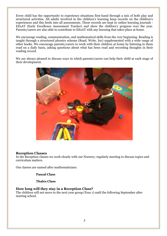Every child has the opportunity to experience situations first-hand through a mix of both play and structured activities. All adults involved in the children's learning keep records on the children's experiences and this feeds into all assessments. These records are kept in online learning journals - EExAT (Early Excellence Assessment Tracker) and show the children's progress over the year. Parents/carers are also able to contribute to EExAT with any learning that takes place at home.

We encourage reading, communication, and mathematical skills from the very beginning. Reading is taught through a structured phonics scheme (Read, Write, Inc) supplemented with a wide range of other books. We encourage parents/carers to work with their children at home by listening to them read on a daily basis, asking questions about what has been read and recording thoughts in their reading record.

We are always pleased to discuss ways in which parents/carers can help their child at each stage of their development.



#### **Reception Classes**

In the Reception classes we work closely with our Nursery; regularly meeting to discuss topics and curriculum matters.

Our classes are named after mathematicians:

#### **Pascal Class**

**Thales Class**

#### **How long will they stay in a Reception Class?**

The children will not move to the next year group (Year 1) until the following September after starting school.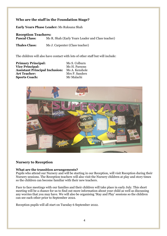#### **Who are the staff in the Foundation Stage?**

**Early Years Phase Leader:** Ms Ruksana Shah

### **Reception Teachers:**<br>**Pascal Class:** Ms I

**Pascal Class:** Ms R. Shah (Early Years Leader and Class teacher)

**Thales Class:** Ms J. Carpenter (Class teacher)

The children will also have contact with lots of other staff but will include:

**Primary Principal:** Ms S. Colburn **Vice Principal:** Ms H. Parsons **Assistant Principal Inclusion:** Ms A. Kenshole **Art Teacher:** Mrs P. Sanders **Sports Coach:** Mr Malachi



#### **Nursery to Reception**

#### **What are the transition arrangements?**

Pupils who attend our Nursery and will be starting in our Reception, will visit Reception during their Nursery sessions. The Reception teachers will also visit the Nursery children at play and story times so the children can become familiar with their new teachers.

Face to face meetings with our families and their children will take place in early July. This short meeting will be a chance for us to find out more information about your child as well as discussing any worries that you may have. We will also be organising 'Stay and Play' sessions so the children can see each other prior to September 2022.

Reception pupils will all start on Tuesday 6 September 2022.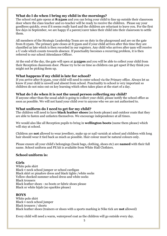#### **What do I do when I bring my child in the mornings?**

The school red gate opens at **8:25am** and you can bring your child to line up outside their classroom door where the class teacher and co-teacher will be ready to receive the children. Please say your goodbyes quickly, even if it seems really hard and the children are reluctant to leave you. For the first few days in September, we are happy if a parent/carer takes their child into their classroom to settle them.

All members of the Strategic Leadership Team are on duty in the playground and are on the gate from 8:25am. The primary gate closes at 8:35am and if your child arrives after this time they are classified as late which is then recorded in our registers. Any child who arrives after 9am will receive a U code which counts towards absence. If punctuality becomes a recurring problem, it is then referred to our school Attendance Officer.

At the end of the day, the gate will open at **3:25pm** and you will be able to collect your child from their Reception classroom door. Please try to be on time as children can get upset if they think you might not be picking them up.

#### **What happens if my child is late for school?**

If you arrive after 8:35am, your child will need to enter school via the Primary office. Always let us know if your child is unwell and absent from school. Punctuality to school is very important so children do not miss out on key learning which often takes place at the start of a day.

#### **What do I do when it is not the usual person collecting my child?**

If anyone other than the usual adult is going to collect your child, please notify the school office as soon as possible. We will not hand your child over to anyone who we are not authorised to.

#### **What uniform do I need to get for my child?**

The children will need to have **black leather shoes** (no boots please) and outdoor coats that they are able to fasten and unfasten themselves. We encourage independence at all times.

We would also like all Reception pupils to bring in **wellington boots** (name them please) which will stay at school.

Children are **not** allowed to wear jewellery, make up or nail varnish at school and children with long hair should wear it tied back as much as possible. Hair colour must be natural colours only.

Please ensure all your child's belongings (book bags, clothing, shoes etc) are **named** with their full name. School uniform and PE kit is available from White Hall Clothiers.

#### **School uniform is:**

#### **Girls**

White polo shirt Black v-neck school jumper or school cardigan Black skirt or pinafore dress and black tights /white socks Yellow checked summer school dress and white socks Black trousers Black leather shoes - no boots or fabric shoes please Black or white hijab (no sparkles please)

#### **BOYS**

White polo shirt Black v-neck school jumper Black trousers / shorts Black leather shoes (trainers or shoes with a sports marking ie Nike tick are **not** allowed)

Every child will need a warm, waterproof coat as the children will go outside every day.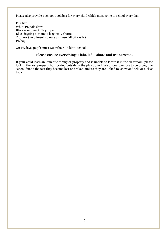Please also provide a school-book bag for every child which must come to school every day.

**PE Kit** White PE polo shirt Black round neck PE jumper Black jogging bottoms / leggings / shorts Trainers (no plimsolls please as these fall off easily) PE bag

On PE days, pupils must wear their PE kit to school.

#### **Please ensure everything is labelled – shoes and trainers too!**

If your child loses an item of clothing or property and is unable to locate it in the classroom, please look in the lost property box located outside in the playground. We discourage toys to be brought to school due to the fact they become lost or broken, unless they are linked to 'show and tell' or a class topic.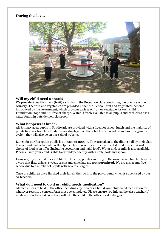#### **During the day...**



#### **Will my child need a snack?**

We provide a healthy snack (fruit) each day in the Reception class continuing the practice of the Nursery. The fruit and vegetables are provided under the 'School Fruit and Vegetables' scheme introduced by the government, which provides a piece of fruit or vegetable for each child in Foundation Stage and KS1 free of charge. Water is freely available to all pupils and each class has a water fountain outside their classroom.

#### **What happens at lunch?**

All Primary aged pupils in Southwark are provided with a free, hot school lunch and the majority of pupils have a school lunch. Menus are displayed on the school office window and are in a 3-week cycle – they will also be on our school website.

Lunch for our Reception pupils is 11:50am to 1:00pm. They are taken to the dining hall by their class teacher and co-teacher who will help the children get their lunch and cut it up if needed. A wide choice of food is on offer (including vegetarian and halal food). Water and/or milk is also available. Please ensure your child is able to eat independently with a knife, fork and spoon.

However, if your child does not like the lunches, pupils can bring in the own packed lunch. Please be aware that fizzy drinks, sweets, crisps and chocolate are **not permitted**. We are also a 'nut free' school due to a number of pupils with severe allergies.

Once the children have finished their lunch, they go into the playground which is supervised by our co-teachers.

#### **What do I need to do if my child needs medication?**

All medicines are held in the office including any inhalers. Should your child need medication for whatever reason, a consent form must be completed. Please ensure you inform the class teacher if medication is to be taken as they will take the child to the office for it to be given.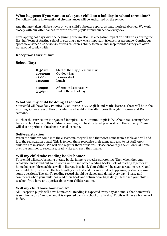#### **What happens if you want to take your child on a holiday in school term time?**

No holiday unless in exceptional circumstances will be authorised by the school.

Any that are taken will be shown on your child's absence reports as unauthorised absence. We work closely with our Attendance Officer to ensure pupils attend our school every day.

Overlapping holidays with the beginning of term also has a negative impact on children as during the first half term of starting school or starting a new class important friendships are made. Continuous sporadic absence also seriously affects children's ability to make and keep friends as they are often not around to play with.

#### **Reception Curriculum**

#### **School Day:**

| 8:30am    | Start of the Day / Lessons start |
|-----------|----------------------------------|
| 10:30am   | <b>Outdoor Play</b>              |
| 11:00am   | Lessons start                    |
| 11:50am   | Lunch                            |
| $1:00$ pm | Afternoon lessons start          |
| 3:30pm    | End of the school day            |

#### **What will my child be doing at school?**

Your child will have daily Phonics (Read, Write Inc.), English and Maths lessons. These will be in the morning. Other areas of the curriculum are taught in the afternoons through 'Discover and Do' sessions.

Much of the curriculum is organised in topics – our Autumn 1 topic is 'All About Me'. During their time in school some of the children's learning will be structured play as it is in the Nursery. There will also be periods of teacher directed learning.

#### **Self-registration**

When the children come into the classroom, they will find their own name from a table and will add it to the registration board. This is to help them recognise their name and also to let staff know children are in school. We will also register them ourselves. Please encourage the children at home over the summer to recognise, read, write and spell their name.

#### **Will my child take reading books home?**

Your child will start bringing picture books home to practise storytelling. Then when they can recognise and sound out some words we will introduce reading books. Lots of reading together at home helps children achieve well in literacy in school. Your child will be given a reading record and we would like you to read the book with your child and discuss what is happening, perhaps asking some questions. The child's reading record should be signed and dated every day. Please add comments when your child has read their book and return book bags daily. Please see your child's teacher if you have any queries about your child's reading.

#### **Will my child have homework?**

All Reception pupils will have homework. Reading is expected every day at home. Other homework is sent home on a Tuesday and it is expected back in school on a Friday. Pupils will have a homework folder.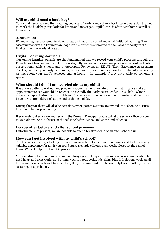#### **Will my child need a book bag?**

Your child needs to keep their reading books and 'reading record' in a book bag – please don't forget to check the book bags regularly for letters and messages. Pupils' work is often sent home as well as homework.

#### **Assessment**

We make regular assessments via observation in adult-directed and child-initiated learning. The assessments form the Foundation Stage Profile, which is submitted to the Local Authority in the final term of the academic year.

#### **Digital Learning Journals**

Our online learning journals are the fundamental way we record your child's progress through the Foundation Stage and we complete these digitally. As part of the ongoing process we record and notate observations, achievements and photographs. Following an EExAT (Early Excellence Assessment Tracker) workshop in early September, we ask you for your contribution to the digital journals, by writing about your child's achievements at home – for example if they have achieved something special.

#### **What should I do if I am worried about my child?**

It is always better to sort out any problems sooner rather than later. In the first instance make an appointment to see your child's teacher, or secondly the Early Years Leader – Ms Shah - who will always be happy to discuss any problems. The time available before school is limited and hectic so issues are better addressed at the end of the school day.

During the year there will also be occasions when parents/carers are invited into school to discuss how their child is progressing.

If you wish to discuss any matter with the Primary Principal, please ask at the school office or speak to Ms Colburn. She is always on the red gate before school and at the end of school.

#### **Do you offer before and after school provision?**

Unfortunately, at present, we are not able to offer a breakfast club or an after-school club.

#### **How can I get involved with my child's school?**

The teachers are always looking for parents/carers to help them in their classes and feel it is a very valuable experience for all. If you could spare a couple of hours each week, please let the school know. We will help with the DBS process.

You can also help from home and we are always grateful to parents/carers who save materials to be used in art and craft work, e.g. buttons, yoghurt pots, corks, lids, shiny bits, foil, ribbon, wool, small boxes, material, cardboard tubes and anything else you think will be useful (please - nothing too big as storage is a problem).